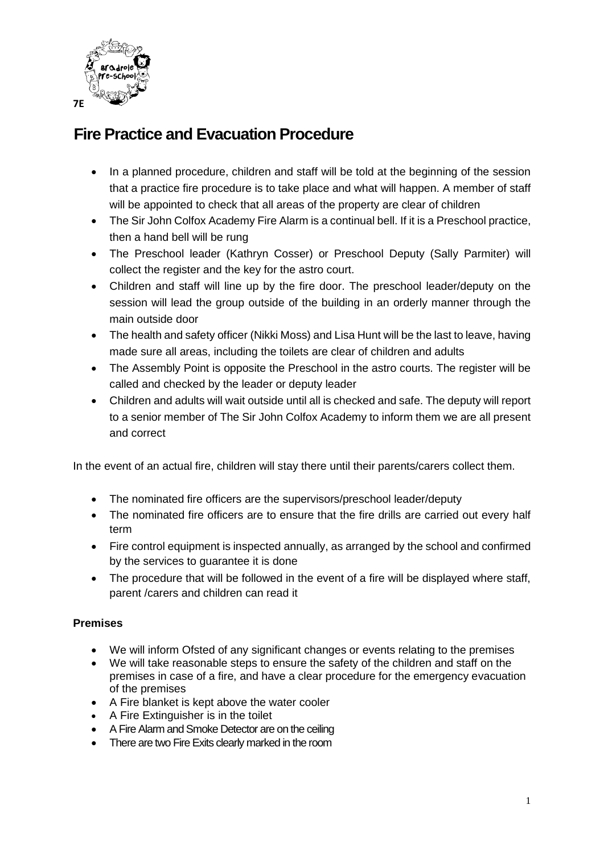

## **Fire Practice and Evacuation Procedure**

- In a planned procedure, children and staff will be told at the beginning of the session that a practice fire procedure is to take place and what will happen. A member of staff will be appointed to check that all areas of the property are clear of children
- The Sir John Colfox Academy Fire Alarm is a continual bell. If it is a Preschool practice, then a hand bell will be rung
- The Preschool leader (Kathryn Cosser) or Preschool Deputy (Sally Parmiter) will collect the register and the key for the astro court.
- Children and staff will line up by the fire door. The preschool leader/deputy on the session will lead the group outside of the building in an orderly manner through the main outside door
- The health and safety officer (Nikki Moss) and Lisa Hunt will be the last to leave, having made sure all areas, including the toilets are clear of children and adults
- The Assembly Point is opposite the Preschool in the astro courts. The register will be called and checked by the leader or deputy leader
- Children and adults will wait outside until all is checked and safe. The deputy will report to a senior member of The Sir John Colfox Academy to inform them we are all present and correct

In the event of an actual fire, children will stay there until their parents/carers collect them.

- The nominated fire officers are the supervisors/preschool leader/deputy
- The nominated fire officers are to ensure that the fire drills are carried out every half term
- Fire control equipment is inspected annually, as arranged by the school and confirmed by the services to guarantee it is done
- The procedure that will be followed in the event of a fire will be displayed where staff, parent /carers and children can read it

## **Premises**

- We will inform Ofsted of any significant changes or events relating to the premises
- We will take reasonable steps to ensure the safety of the children and staff on the premises in case of a fire, and have a clear procedure for the emergency evacuation of the premises
- A Fire blanket is kept above the water cooler
- A Fire Extinguisher is in the toilet
- A Fire Alarm and Smoke Detector are on the ceiling
- There are two Fire Exits clearly marked in the room